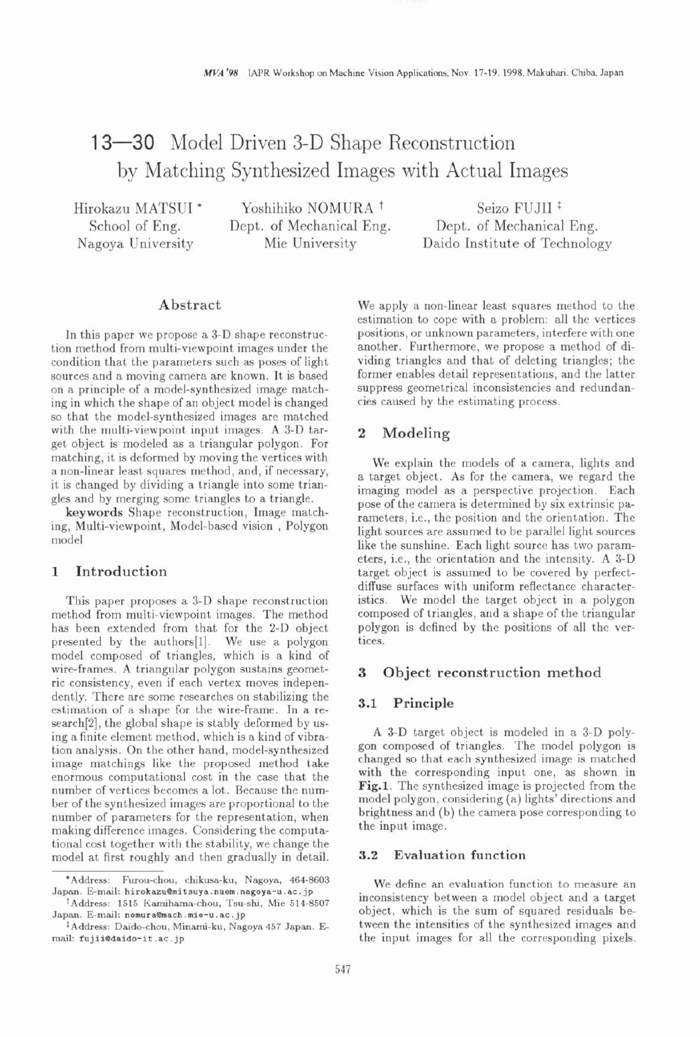# 13-30 Model Driven 3-D Shape Reconstruction by Matching Synthesized Images with Actual Images

Hirokazu MATSUI \* Yoshihiko NOMURA <sup>†</sup> Seizo FUJII <sup>‡</sup>

School of Eng. Dept. of Mechanical Eng. Dept. of Mechanical Eng. Nagoya University Mie University Daido Institute of Technology

# **Abstract**

In this paper we propose a 3-D shape reconstruction method from multi-viewpoint images under the condition that the parameters such as poses of light sources and a moving camera are known. It is based on a principle of a model-synthesized image matching in which the shape of an object model is changed so that the model-synthesized images are matched with the multi-viewpoint input images. **A** 3-D target object is modeled as a triangular polygon. For matching, it is deformed by moving the vertices with a non-linear least squares method, and, if necessary, it is changed by dividing a triangle into some triangles and by merging some triangles to a triangle.

keywords Shape reconstruction, Image matching, Multi-viewpoint, Model-based vision , Polygon model

# **1 Introduction**

This paper proposes a 3-D shape reconstruction method from multi-viewpoint images. The method has been extended from that for the 2-D object presented by the authors[l]. We use a polygon model composed of triangles, which is a kind of wire-frames. **A** triangular polygon sustains geometric consistency, even if each vertex moves independently. There are some researches on stabilizing the estimation of a shape for the wire-frame. In a research[2], the global shape is stably deformed by using a finite element method, which is a kind of vibration analysis. On the other hand, model-synthesized image matchings like the proposed method take enormous computational cost in the case that the number of vertices becomes a lot. Because the number of the synthesized images are proportional to the number of parameters for the representation, when making difference images. Considering the computational cost together with the stability, we change the model at first roughly and then gradually in detail.

We apply a non-linear least squares method to the estimation to cope with a problem: all the vertices positions, or unknown parameters, interfere with one another. Furthermore, we propose a method of dividing triangles and that of deleting triangles; the former enables detail representations, and the latter suppress geometrical inconsistencies and redundancies caused by the estimating process.

# **2 Modeling**

We explain the models of a camera, lights and a target object. As for the camera, we regard the imaging model as a perspective projection. Each pose of the camera is determined by six extrinsic parameters, i.e., the position and the orientation. The light sources are assumed to be parallel light sources like the sunshine. Each light source has two parameters, i.e., the orientation and the intensity. **A** 3-D target object is assumed to be covered by perfectdiffuse surfaces with uniform reflectance characteristics. We model the target object in a polygon composed of triangles, and a shape of the triangular polygon is defined by the positions of all the vertices.

# **3 Object reconstruction method**

## **3.1 Principle**

**A** 3-D target object is modeled in a 3-D polygon composed of triangles. The model polygon is changed so that each synthesized image is matched with the corresponding input one, as shown in **Fig.1.** The synthesized image is projected from the model polygon, considering (a) lights' directions and brightness and (b) the camera pose corresponding to the input image.

## **3.2 Evaluation function**

We define an evaluation function to measure an inconsistency between a model object and a target object, which is the sum of squared residuals between the intensities of the synthesized images and the input images for all the corresponding pixels.

**<sup>\*</sup>Address: Furou-chou, chikusa-ku, Nagoya, 464-8603 Japan. Email: hirokazuQmitsuya.nuem.nagoya-u.ac.jp** 

**t~ddress: 1515 Kamihama-chou, Tsu-shi, Mie 514-8507 Japan. E-mail: nomura@mach.mie-u.ac.jp** 

<sup>&</sup>lt;sup>1</sup> Address: Daido-chou, Minami-ku, Nagoya 457 Japan. E**mail: fujiiedaido-it .ac. jp**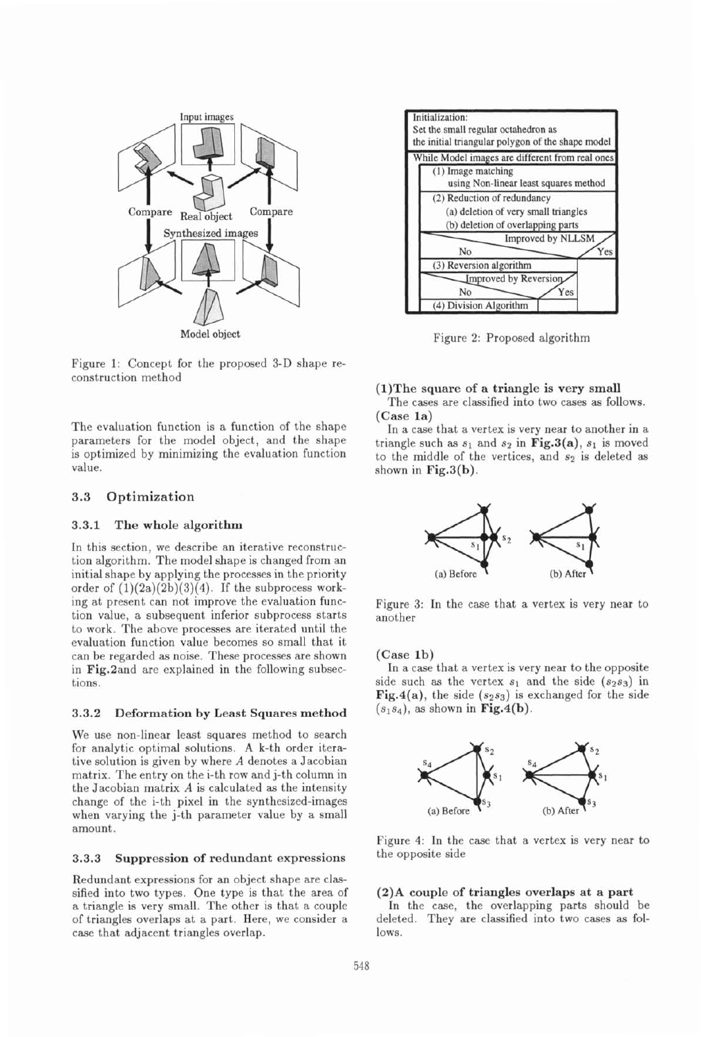

Figure 1: Concept for the proposed **3-D** shape reconstruction method

The evaluation function is a function of the shape parameters for the model object, and the shape is optimized by minimizing the evaluation function value.

## **3.3 Optimization**

#### 3.3.1 The whole algorithm

In this section, we describe an iterative reconstruction algorithm. The model shape is changed from an initial shape by applying the processes in the priority order of  $(1)(2a)(2b)(3)(4)$ . If the subprocess working at present can not improve the evaluation function value, a subsequent inferior subprocess starts to work. The above processes are iterated until the evaluation function value becomes so small that it can be regarded as noise. These processes are shown in Fig.2and are explained in the following subsections.

## 3.3.2 Deformation by Least Squares method

We use non-linear least squares method to search for analytic optimal solutions. **A** k-th order iterative solution is given by where **A** denotes a Jacobian matrix. The entry on the i-th row and j-th column in the Jacobian matrix *A* is calculated as the intensity change of the i-th pixel in the synthesized-images when varying the j-th parameter value by a small amount.

## 3.3.3 Suppression of redundant expressions

Redundant expressions for an object shape are classified into two types. One type is that the area of a triangle is very small. The other is that a couple of triangles overlaps at a part. Here, we consider a case that adjacent triangles overlap.



Figure 2: Proposed algorithm

#### (1)The square of a triangle is very small

The cases are classified into two cases as follows. (Case la)

In a case that a vertex is very near to another in a triangle such as  $s_1$  and  $s_2$  in Fig.3(a),  $s_1$  is moved to the middle of the vertices, and  $s_2$  is deleted as shown in Fig.3(b).



Figure 3: In the case that a vertex is very near to another

#### (Case lb)

In a case that a vertex is very near to the opposite side such as the vertex  $s_1$  and the side ( $s_2s_3$ ) in Fig.4(a), the side  $(s_2s_3)$  is exchanged for the side  $(s_1s_4)$ , as shown in Fig.4(b).



Figure 4: In the case that a vertex is very near to the opposite side

#### (2)A couple of triangles overlaps at a part

In the case, the overlapping parts should be deleted. They are classified into two cases as follows.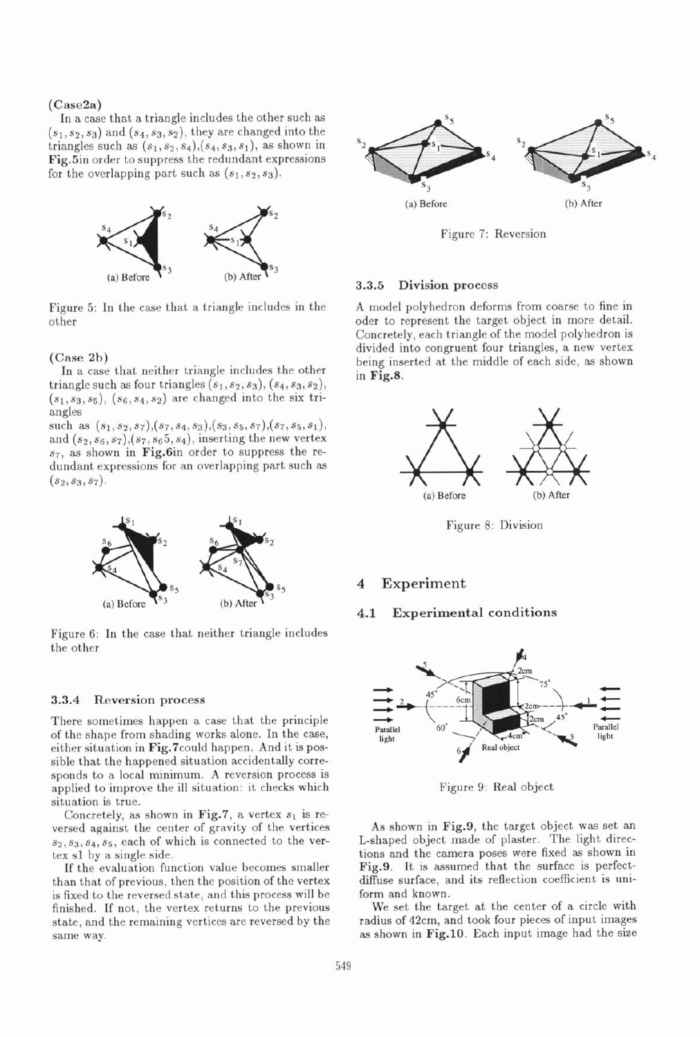#### (Case2a)

In a case that a triangle includes the other such as  $(s_1, s_2, s_3)$  and  $(s_4, s_3, s_2)$ , they are changed into the triangles such as  $(s_1, s_2, s_4), (s_4, s_3, s_1)$ , as shown in Fig.5in order to suppress the redundant expressions for the overlapping part such as  $(s_1, s_2, s_3)$ .



Figure 5: In the case that a triangle includes in the other

#### (Case **2b)**

In a case that neither triangle includes the other triangle such as four triangles  $(s_1, s_2, s_3)$ ,  $(s_4, s_3, s_2)$ ,  $(s_1, s_3, s_5)$ ,  $(s_6, s_4, s_2)$  are changed into the six triangles

such as  $(s_1, s_2, s_7), (s_7, s_4, s_3), (s_3, s_5, s_7), (s_7, s_5, s_1),$ and  $(s_2, s_6, s_7)$ ,  $(s_7, s_65, s_4)$ , inserting the new vertex  $s_7$ , as shown in Fig.6in order to suppress the redundant expressions for an overlapping part such as  $(s_2,s_3,s_7)$ .



Figure 6: In the case that neither triangle includes the other

#### 3.3.4 Reversion process

There sometimes happen a case that the principle of the shape from shading works alone. In the case, either situation in Fig.7could happen. And it is possible that the happened situation accidentally corresponds to a local minimum. **A** reversion process is applied to improve the ill situation: it checks which situation is true.

Concretely, as shown in Fig.7, a vertex  $s_1$  is reversed against the center of gravity of the vertices  $s_2, s_3, s_4, s_5$ , each of which is connected to the vertex sl by a single side.

If the evaluation function value becomes smaller than that of previous, then the position of the vertex is fixed to the reversed state, and this process will be finished. If not, the vertex returns to the previous state, and the remaining vertices are reversed by the same way.



Figure 7: Reversion

### 3.3.5 Division process

A model polyhedron deforms from coarse to fine in oder to represent the target object in more detail. Concretely, each triangle of the model polyhedron is divided into congruent four triangles, a new vertex being inserted at the middle of each side, as shown in Fig.8.



Figure 8: Division

## 4 **Experiment**

# 4.1 Experimental conditions



Figure 9: Real object

As shown in Fig.9, the target object was set an L-shaped object made of plaster. The light directions and the camera poses were fixed as shown in Fig.9. It is assumed that the surface is perfectdiffuse surface, and its reflection coefficient is uniform and known.

We set the target at the center of a circle with radius of 42cm, and took four pieces of input images as shown in Fig.10. Each input image had the size